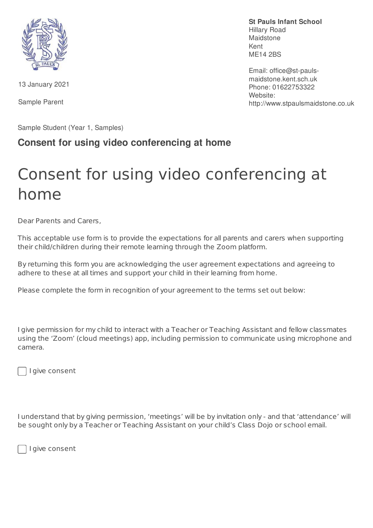

13 January 2021

Sample Parent

Sample Student (Year 1, Samples)

## **Consent for using video conferencing at home**

## Consent for using video conferencing at home

Dear Parents and Carers,

This acceptable use form is to provide the expectations for all parents and carers when supporting their child/children during their remote learning through the Zoom platform.

By returning this form you are acknowledging the user agreement expectations and agreeing to adhere to these at all times and support your child in their learning from home.

Please complete the form in recognition of your agreement to the terms set out below:

I give permission for my child to interact with a Teacher or Teaching Assistant and fellow classmates using the 'Zoom' (cloud meetings) app, including permission to communicate using microphone and camera.



I give consent

I understand that by giving permission, 'meetings' will be by invitation only - and that 'attendance' will be sought only by a Teacher or Teaching Assistant on your child's Class Dojo or school email.

I give consent

**St Pauls Infant School** Hillary Road Maidstone Kent ME14 2BS

Email: office@st-paulsmaidstone.kent.sch.uk Phone: 01622753322 Website: http://www.stpaulsmaidstone.co.uk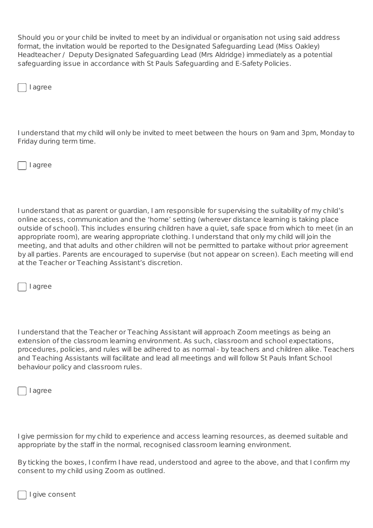Should you or your child be invited to meet by an individual or organisation not using said address format, the invitation would be reported to the Designated Safeguarding Lead (Miss Oakley) Headteacher / Deputy Designated Safeguarding Lead (Mrs Aldridge) immediately as a potential safeguarding issue in accordance with St Pauls Safeguarding and E-Safety Policies.

I agree

I understand that my child will only be invited to meet between the hours on 9am and 3pm, Monday to Friday during term time.

I agree

I understand that as parent or guardian, I am responsible for supervising the suitability of my child's online access, communication and the 'home' setting (wherever distance learning is taking place outside of school). This includes ensuring children have a quiet, safe space from which to meet (in an appropriate room), are wearing appropriate clothing. I understand that only my child will join the meeting, and that adults and other children will not be permitted to partake without prior agreement by all parties. Parents are encouraged to supervise (but not appear on screen). Each meeting will end at the Teacher or Teaching Assistant's discretion.

I agree

I understand that the Teacher or Teaching Assistant will approach Zoom meetings as being an extension of the classroom learning environment. As such, classroom and school expectations, procedures, policies, and rules will be adhered to as normal - by teachers and children alike. Teachers and Teaching Assistants will facilitate and lead all meetings and will follow St Pauls Infant School behaviour policy and classroom rules.

I agree

I give permission for my child to experience and access learning resources, as deemed suitable and appropriate by the staff in the normal, recognised classroom learning environment.

By ticking the boxes, I confirm I have read, understood and agree to the above, and that I confirm my consent to my child using Zoom as outlined.

I give consent